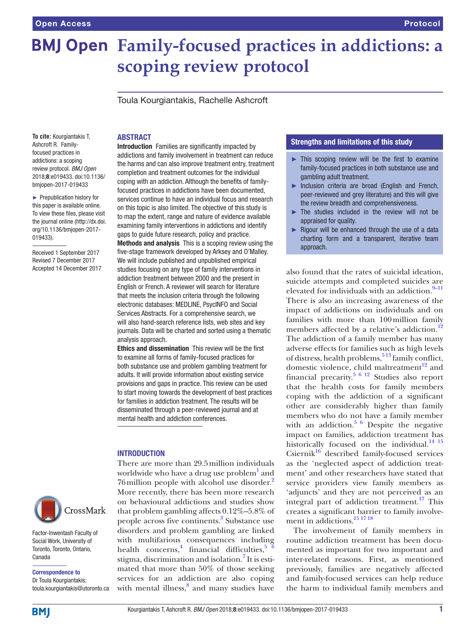# **BMJ Open Family-focused practices in addictions: a scoping review protocol**

Toula Kourgiantakis, Rachelle Ashcroft

#### **ABSTRACT**

**To cite:** Kourgiantakis T, Ashcroft R. Familyfocused practices in addictions: a scoping review protocol. *BMJ Open* 2018;8:e019433. doi:10.1136/ bmjopen-2017-019433

► Prepublication history for this paper is available online. To view these files, please visit the journal online [\(http://dx.doi.](http://dx.doi.org/10.1136/bmjopen-2017-019433) [org/10.1136/bmjopen-2017-](http://dx.doi.org/10.1136/bmjopen-2017-019433) [019433\)](http://dx.doi.org/10.1136/bmjopen-2017-019433).

Received 1 September 2017 Revised 7 December 2017 Accepted 14 December 2017



Factor-Inwentash Faculty of Social Work, University of Toronto, Toronto, Ontario, Canada

Correspondence to Dr Toula Kourgiantakis; toula.kourgiantakis@utoronto.ca Introduction Families are significantly impacted by addictions and family involvement in treatment can reduce the harms and can also improve treatment entry, treatment completion and treatment outcomes for the individual coping with an addiction. Although the benefits of familyfocused practices in addictions have been documented, services continue to have an individual focus and research on this topic is also limited. The objective of this study is to map the extent, range and nature of evidence available examining family interventions in addictions and identify gaps to guide future research, policy and practice.

Methods and analysis This is a scoping review using the five-stage framework developed by Arksey and O'Malley. We will include published and unpublished empirical studies focusing on any type of family interventions in addiction treatment between 2000 and the present in English or French. A reviewer will search for literature that meets the inclusion criteria through the following electronic databases: MEDLINE, PsycINFO and Social Services Abstracts. For a comprehensive search, we will also hand-search reference lists, web sites and key journals. Data will be charted and sorted using a thematic analysis approach.

Ethics and dissemination This review will be the first to examine all forms of family-focused practices for both substance use and problem gambling treatment for adults. It will provide information about existing service provisions and gaps in practice. This review can be used to start moving towards the development of best practices for families in addiction treatment. The results will be disseminated through a peer-reviewed journal and at mental health and addiction conferences.

#### **INTRODUCTION**

There are more than 29.5million individuals worldwide who have a drug use problem $^{\rm l}$  and 76 million people with alcohol use disorder.<sup>[2](#page-3-1)</sup> More recently, there has been more research on behavioural addictions and studies show that problem gambling affects 0.12%–5.8% of people across five continents.<sup>[3](#page-3-2)</sup> Substance use disorders and problem gambling are linked with multifarious consequences including health concerns,<sup>[4](#page-3-3)</sup> financial difficulties, $5\frac{6}{6}$ stigma, discrimination and isolation.<sup>[7](#page-3-5)</sup> It is estimated that more than 50% of those seeking services for an addiction are also coping with mental illness,<sup>[8](#page-3-6)</sup> and many studies have

### Strengths and limitations of this study

- $\blacktriangleright$  This scoping review will be the first to examine family-focused practices in both substance use and gambling adult treatment.
- ► Inclusion criteria are broad (English and French, peer-reviewed and grey literature) and this will give the review breadth and comprehensiveness.
- ► The studies included in the review will not be appraised for quality.
- Rigour will be enhanced through the use of a data charting form and a transparent, iterative team approach.

also found that the rates of suicidal ideation, suicide attempts and completed suicides are elevated for individuals with an addiction. $9-11$ There is also an increasing awareness of the impact of addictions on individuals and on families with more than 100million family members affected by a relative's addiction.<sup>[12](#page-3-8)</sup> The addiction of a family member has many adverse effects for families such as high levels of distress, health problems,  $5^{13}$  family conflict, domestic violence, child maltreatment<sup>12</sup> and financial precarity. $5 \times 12$  Studies also report that the health costs for family members coping with the addiction of a significant other are considerably higher than family members who do not have a family member with an addiction.<sup>[5 6](#page-3-4)</sup> Despite the negative impact on families, addiction treatment has historically focused on the individual. $14^{14}$  $Csiernik<sup>16</sup>$  $Csiernik<sup>16</sup>$  $Csiernik<sup>16</sup>$  described family-focused services as the 'neglected aspect of addiction treatment' and other researchers have stated that service providers view family members as 'adjuncts' and they are not perceived as an integral part of addiction treatment.<sup>17</sup> This creates a significant barrier to family involve-ment in addictions.<sup>[15 17 18](#page-3-12)</sup>

The involvement of family members in routine addiction treatment has been documented as important for two important and inter-related reasons. First, as mentioned previously, families are negatively affected and family-focused services can help reduce the harm to individual family members and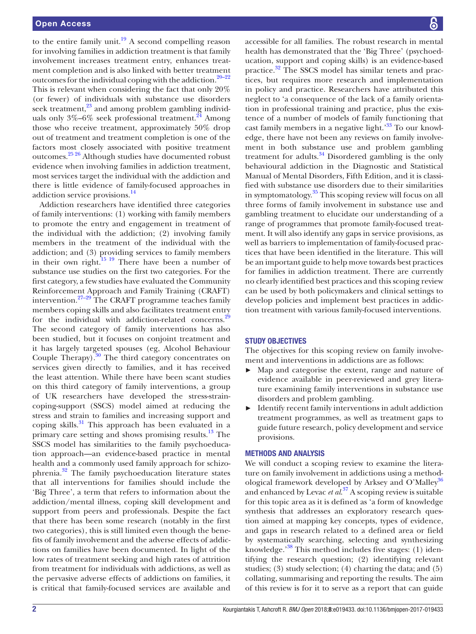to the entire family unit.<sup>19</sup> A second compelling reason for involving families in addiction treatment is that family involvement increases treatment entry, enhances treatment completion and is also linked with better treatment outcomes for the individual coping with the addiction[.20–22](#page-3-14) This is relevant when considering the fact that only 20% (or fewer) of individuals with substance use disorders seek treatment, $^{23}$  and among problem gambling individuals only  $3\% - 6\%$  seek professional treatment.<sup>24</sup> Among those who receive treatment, approximately 50% drop out of treatment and treatment completion is one of the factors most closely associated with positive treatment outcomes.[25 26](#page-4-1) Although studies have documented robust evidence when involving families in addiction treatment, most services target the individual with the addiction and there is little evidence of family-focused approaches in addiction service provisions.<sup>14</sup>

Addiction researchers have identified three categories of family interventions: (1) working with family members to promote the entry and engagement in treatment of the individual with the addiction; (2) involving family members in the treatment of the individual with the addiction; and (3) providing services to family members in their own right.<sup>15 19</sup> There have been a number of substance use studies on the first two categories. For the first category, a few studies have evaluated the Community Reinforcement Approach and Family Training (CRAFT) intervention.<sup>27–29</sup> The CRAFT programme teaches family members coping skills and also facilitates treatment entry for the individual with addiction-related concerns.<sup>29</sup> The second category of family interventions has also been studied, but it focuses on conjoint treatment and it has largely targeted spouses (eg, Alcohol Behaviour Couple Therapy).<sup>[30](#page-4-4)</sup> The third category concentrates on services given directly to families, and it has received the least attention. While there have been scant studies on this third category of family interventions, a group of UK researchers have developed the stress-straincoping-support (SSCS) model aimed at reducing the stress and strain to families and increasing support and coping skills.<sup>[31](#page-4-5)</sup> This approach has been evaluated in a primary care setting and shows promising results.[13](#page-3-16) The SSCS model has similarities to the family psychoeducation approach—an evidence-based practice in mental health and a commonly used family approach for schizophrenia.[32](#page-4-6) The family psychoeducation literature states that all interventions for families should include the 'Big Three', a term that refers to information about the addiction/mental illness, coping skill development and support from peers and professionals. Despite the fact that there has been some research (notably in the first two categories), this is still limited even though the benefits of family involvement and the adverse effects of addictions on families have been documented. In light of the low rates of treatment seeking and high rates of attrition from treatment for individuals with addictions, as well as the pervasive adverse effects of addictions on families, it is critical that family-focused services are available and

accessible for all families. The robust research in mental health has demonstrated that the 'Big Three' (psychoeducation, support and coping skills) is an evidence-based practice.<sup>32</sup> The SSCS model has similar tenets and practices, but requires more research and implementation in policy and practice. Researchers have attributed this neglect to 'a consequence of the lack of a family orientation in professional training and practice, plus the existence of a number of models of family functioning that cast family members in a negative light.'<sup>33</sup> To our knowledge, there have not been any reviews on family involvement in both substance use and problem gambling treatment for adults.<sup>[34](#page-4-8)</sup> Disordered gambling is the only behavioural addiction in the Diagnostic and Statistical Manual of Mental Disorders, Fifth Edition, and it is classified with substance use disorders due to their similarities in symptomatology.<sup>35</sup> This scoping review will focus on all three forms of family involvement in substance use and gambling treatment to elucidate our understanding of a range of programmes that promote family-focused treatment. It will also identify any gaps in service provisions, as well as barriers to implementation of family-focused practices that have been identified in the literature. This will be an important guide to help move towards best practices for families in addiction treatment. There are currently no clearly identified best practices and this scoping review can be used by both policymakers and clinical settings to develop policies and implement best practices in addiction treatment with various family-focused interventions.

#### STUDY OBJECTIVES

The objectives for this scoping review on family involvement and interventions in addictions are as follows:

- ► Map and categorise the extent, range and nature of evidence available in peer-reviewed and grey literature examining family interventions in substance use disorders and problem gambling.
- ► Identify recent family interventions in adult addiction treatment programmes, as well as treatment gaps to guide future research, policy development and service provisions.

#### Methods and analysis

We will conduct a scoping review to examine the literature on family involvement in addictions using a method-ological framework developed by Arksey and O'Malley<sup>[36](#page-4-10)</sup> and enhanced by Levac *et al*. [37](#page-4-11) A scoping review is suitable for this topic area as it is defined as 'a form of knowledge synthesis that addresses an exploratory research question aimed at mapping key concepts, types of evidence, and gaps in research related to a defined area or field by systematically searching, selecting and synthesizing knowledge.<sup>38</sup> This method includes five stages: (1) identifying the research question; (2) identifying relevant studies; (3) study selection; (4) charting the data; and (5) collating, summarising and reporting the results. The aim of this review is for it to serve as a report that can guide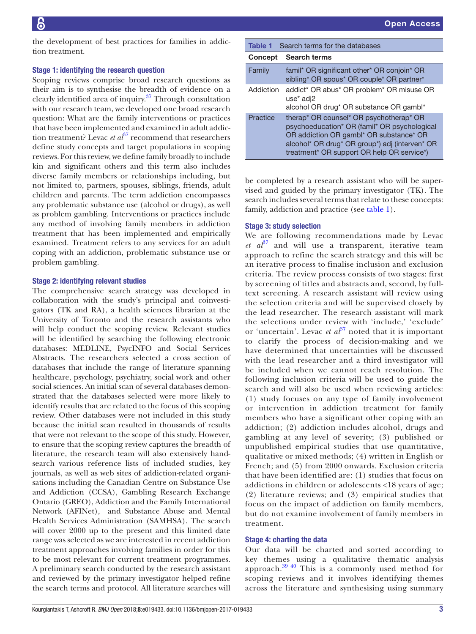#### Stage 1: identifying the research question

Scoping reviews comprise broad research questions as their aim is to synthesise the breadth of evidence on a clearly identified area of inquiry.[37](#page-4-11) Through consultation with our research team, we developed one broad research question: What are the family interventions or practices that have been implemented and examined in adult addiction treatment? Levac *et*  $a\delta^7$  recommend that researchers define study concepts and target populations in scoping reviews. For this review, we define family broadly to include kin and significant others and this term also includes diverse family members or relationships including, but not limited to, partners, spouses, siblings, friends, adult children and parents. The term addiction encompasses any problematic substance use (alcohol or drugs), as well as problem gambling. Interventions or practices include any method of involving family members in addiction treatment that has been implemented and empirically examined. Treatment refers to any services for an adult coping with an addiction, problematic substance use or problem gambling.

#### Stage 2: identifying relevant studies

The comprehensive search strategy was developed in collaboration with the study's principal and coinvestigators (TK and RA), a health sciences librarian at the University of Toronto and the research assistants who will help conduct the scoping review. Relevant studies will be identified by searching the following electronic databases: MEDLINE, PsycINFO and Social Services Abstracts. The researchers selected a cross section of databases that include the range of literature spanning healthcare, psychology, psychiatry, social work and other social sciences. An initial scan of several databases demonstrated that the databases selected were more likely to identify results that are related to the focus of this scoping review. Other databases were not included in this study because the initial scan resulted in thousands of results that were not relevant to the scope of this study. However, to ensure that the scoping review captures the breadth of literature, the research team will also extensively handsearch various reference lists of included studies, key journals, as well as web sites of addiction-related organisations including the Canadian Centre on Substance Use and Addiction (CCSA), Gambling Research Exchange Ontario (GREO), Addiction and the Family International Network (AFINet), and Substance Abuse and Mental Health Services Administration (SAMHSA). The search will cover 2000 up to the present and this limited date range was selected as we are interested in recent addiction treatment approaches involving families in order for this to be most relevant for current treatment programmes. A preliminary search conducted by the research assistant and reviewed by the primary investigator helped refine the search terms and protocol. All literature searches will

<span id="page-2-0"></span>

| Search terms for the databases<br><b>Table 1</b> |                                                                                                                                                                                                                                                                        |
|--------------------------------------------------|------------------------------------------------------------------------------------------------------------------------------------------------------------------------------------------------------------------------------------------------------------------------|
| Concept                                          | <b>Search terms</b>                                                                                                                                                                                                                                                    |
| Family                                           | famil* OR significant other* OR conjoin* OR<br>sibling* OR spous* OR couple* OR partner*                                                                                                                                                                               |
| Addiction                                        | addict* OR abus* OR problem* OR misuse OR<br>use* adj2<br>alcohol OR drug* OR substance OR gambl*                                                                                                                                                                      |
| Practice                                         | therap <sup>*</sup> OR counsel <sup>*</sup> OR psychotherap <sup>*</sup> OR<br>psychoeducation* OR (famil* OR psychological<br>OR addiction OR gambl* OR substance* OR<br>alcohol* OR drug* OR group*) adj (interven* OR<br>treatment* OR support OR help OR service*) |

be completed by a research assistant who will be supervised and guided by the primary investigator (TK). The search includes several terms that relate to these concepts: family, addiction and practice (see [table](#page-2-0) 1).

#### Stage 3: study selection

We are following recommendations made by Levac  $et \text{ } a\text{ } a^{37}$  $et \text{ } a\text{ } a^{37}$  $et \text{ } a\text{ } a^{37}$  and will use a transparent, iterative team approach to refine the search strategy and this will be an iterative process to finalise inclusion and exclusion criteria. The review process consists of two stages: first by screening of titles and abstracts and, second, by fulltext screening. A research assistant will review using the selection criteria and will be supervised closely by the lead researcher. The research assistant will mark the selections under review with 'include,' 'exclude' or 'uncertain'. Levac *et al*<sup>37</sup> noted that it is important to clarify the process of decision-making and we have determined that uncertainties will be discussed with the lead researcher and a third investigator will be included when we cannot reach resolution. The following inclusion criteria will be used to guide the search and will also be used when reviewing articles: (1) study focuses on any type of family involvement or intervention in addiction treatment for family members who have a significant other coping with an addiction; (2) addiction includes alcohol, drugs and gambling at any level of severity; (3) published or unpublished empirical studies that use quantitative, qualitative or mixed methods; (4) written in English or French; and (5) from 2000 onwards. Exclusion criteria that have been identified are: (1) studies that focus on addictions in children or adolescents <18 years of age; (2) literature reviews; and (3) empirical studies that focus on the impact of addiction on family members, but do not examine involvement of family members in treatment.

#### Stage 4: charting the data

Our data will be charted and sorted according to key themes using a qualitative thematic analysis approach. $39\frac{40}{10}$  This is a commonly used method for scoping reviews and it involves identifying themes across the literature and synthesising using summary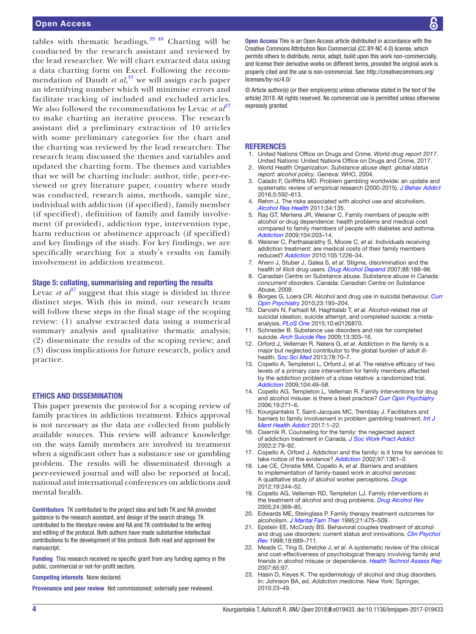tables with thematic headings. $3940$  Charting will be conducted by the research assistant and reviewed by the lead researcher. We will chart extracted data using a data charting form on Excel. Following the recommendation of Daudt *et al*, [41](#page-4-14) we will assign each paper an identifying number which will minimise errors and facilitate tracking of included and excluded articles. We also followed the recommendations by Levac *et*  $a^{\beta^7}$ to make charting an iterative process. The research assistant did a preliminary extraction of 10 articles with some preliminary categories for the chart and the charting was reviewed by the lead researcher. The research team discussed the themes and variables and updated the charting form. The themes and variables that we will be charting include: author, title, peer-reviewed or grey literature paper, country where study was conducted, research aims, methods, sample size, individual with addiction (if specified), family member (if specified), definition of family and family involvement (if provided), addiction type, intervention type, harm reduction or abstinence approach (if specified) and key findings of the study. For key findings, we are specifically searching for a study's results on family involvement in addiction treatment.

#### Stage 5: collating, summarising and reporting the results

Levac *et*  $a^{\beta7}$  suggest that this stage is divided in three distinct steps. With this in mind, our research team will follow these steps in the final stage of the scoping review: (1) analyse extracted data using a numerical summary analysis and qualitative thematic analysis; (2) disseminate the results of the scoping review; and (3) discuss implications for future research, policy and practice.

#### Ethics and dissemination

This paper presents the protocol for a scoping review of family practices in addiction treatment. Ethics approval is not necessary as the data are collected from publicly available sources. This review will advance knowledge on the ways family members are involved in treatment when a significant other has a substance use or gambling problem. The results will be disseminated through a peer-reviewed journal and will also be reported at local, national and international conferences on addictions and mental health.

Contributors TK contributed to the project idea and both TK and RA provided guidance to the research assistant, and design of the search strategy. TK contributed to the literature review and RA and TK contributed to the writing and editing of the protocol. Both authors have made substantive intellectual contributions to the development of this protocol. Both read and approved the manuscript.

Funding This research received no specific grant from any funding agency in the public, commercial or not-for-profit sectors.

Competing interests None declared.

Provenance and peer review Not commissioned; externally peer reviewed.

Open Access This is an Open Access article distributed in accordance with the Creative Commons Attribution Non Commercial (CC BY-NC 4.0) license, which permits others to distribute, remix, adapt, build upon this work non-commercially, and license their derivative works on different terms, provided the original work is properly cited and the use is non-commercial. See: [http://creativecommons.org/](http://creativecommons.org/licenses/by-nc/4.0/) [licenses/by-nc/4.0/](http://creativecommons.org/licenses/by-nc/4.0/)

© Article author(s) (or their employer(s) unless otherwise stated in the text of the article) 2018. All rights reserved. No commercial use is permitted unless otherwise expressly granted.

#### **REFERENCES**

- <span id="page-3-0"></span>1. United Nations Office on Drugs and Crime. *World drug report 2017*. United Nations: United Nations Office on Drugs and Crime, 2017.
- <span id="page-3-1"></span>2. World Health Organization. *Substance abuse dept. global status report: alcohol policy*. Geneva: WHO, 2004.
- <span id="page-3-2"></span>3. Calado F, Griffiths MD. Problem gambling worldwide: an update and systematic review of empirical research (2000-2015). *[J Behav Addict](http://dx.doi.org/10.1556/2006.5.2016.073)* 2016;5:592–613.
- <span id="page-3-3"></span>4. Rehm J. The risks associated with alcohol use and alcoholism. *Alcohol Res Health* 2011;34:135.
- <span id="page-3-4"></span>5. Ray GT, Mertens JR, Weisner C. Family members of people with alcohol or drug dependence: health problems and medical cost compared to family members of people with diabetes and asthma. *[Addiction](http://dx.doi.org/10.1111/j.1360-0443.2008.02447.x)* 2009;104:203–14.
- 6. Weisner C, Parthasarathy S, Moore C, *et al*. Individuals receiving addiction treatment: are medical costs of their family members reduced? *[Addiction](http://dx.doi.org/10.1111/j.1360-0443.2010.02947.x)* 2010;105:1226–34.
- <span id="page-3-5"></span>7. Ahern J, Stuber J, Galea S, *et al*. Stigma, discrimination and the health of illicit drug users. *[Drug Alcohol Depend](http://dx.doi.org/10.1016/j.drugalcdep.2006.10.014)* 2007;88:188–96.
- <span id="page-3-6"></span>8. Canadian Centre on Substance abuse. *Substance abuse in Canada: concurrent disorders*. Canada: Canadian Centre on Substance Abuse, 2009.
- <span id="page-3-7"></span>9. Borges G, Loera CR. Alcohol and drug use in suicidal behaviour. *[Curr](http://dx.doi.org/10.1097/YCO.0b013e3283386322)  [Opin Psychiatry](http://dx.doi.org/10.1097/YCO.0b013e3283386322)* 2010;23:195–204.
- 10. Darvishi N, Farhadi M, Haghtalab T, *et al*. Alcohol-related risk of suicidal ideation, suicide attempt, and completed suicide: a metaanalysis. *[PLoS One](http://dx.doi.org/10.1371/journal.pone.0126870)* 2015;10:e0126870.
- 11. Schneider B. Substance use disorders and risk for completed suicide. *[Arch Suicide Res](http://dx.doi.org/10.1080/13811110903263191)* 2009;13:303–16.
- <span id="page-3-8"></span>12. Orford J, Velleman R, Natera G, *et al*. Addiction in the family is a major but neglected contributor to the global burden of adult illhealth. *[Soc Sci Med](http://dx.doi.org/10.1016/j.socscimed.2012.11.036)* 2013;78:70–7.
- <span id="page-3-16"></span>13. Copello A, Templeton L, Orford J, *et al*. The relative efficacy of two levels of a primary care intervention for family members affected by the addiction problem of a close relative: a randomized trial. *[Addiction](http://dx.doi.org/10.1111/j.1360-0443.2008.02417.x)* 2009;104:49–58.
- <span id="page-3-9"></span>14. Copello AG, Templeton L, Velleman R. Family interventions for drug and alcohol misuse: is there a best practice? *[Curr Opin Psychiatry](http://dx.doi.org/10.1097/01.yco.0000218597.31184.41)* 2006;19:271–6.
- <span id="page-3-12"></span>15. Kourgiantakis T, Saint-Jacques MC, Tremblay J. Facilitators and barriers to family involvement in problem gambling treatment. *Int J Ment Health Addict* 2017:1–22.
- <span id="page-3-10"></span>16. Csiernik R. Counseling for the family: the neglected aspect of addiction treatment in Canada. *[J Soc Work Pract Addict](http://dx.doi.org/10.1300/J160v02n01_05)* 2002;2:79–92.
- <span id="page-3-11"></span>17. Copello A, Orford J. Addiction and the family: is it time for services to take notice of the evidence? *[Addiction](http://dx.doi.org/10.1046/j.1360-0443.2002.00259.x)* 2002;97:1361–3.
- 18. Lee CE, Christie MM, Copello A, *et al*. Barriers and enablers to implementation of family-based work in alcohol services: A qualitative study of alcohol worker perceptions. *[Drugs](http://dx.doi.org/10.3109/09687637.2011.644599)* 2012;19:244–52.
- <span id="page-3-13"></span>19. Copello AG, Velleman RD, Templeton LJ. Family interventions in the treatment of alcohol and drug problems. *[Drug Alcohol Rev](http://dx.doi.org/10.1080/09595230500302356)* 2005;24:369–85.
- <span id="page-3-14"></span>20. Edwards ME, Steinglass P. Family therapy treatment outcomes for alcoholism. *[J Marital Fam Ther](http://dx.doi.org/10.1111/j.1752-0606.1995.tb00176.x)* 1995;21:475–509.
- 21. Epstein EE, McCrady BS. Behavioral couples treatment of alcohol and drug use disorders: current status and innovations. *[Clin Psychol](http://dx.doi.org/10.1016/S0272-7358(98)00025-7)  [Rev](http://dx.doi.org/10.1016/S0272-7358(98)00025-7)* 1998;18:689–711.
- 22. Meads C, Ting S, Dretzke J, *et al*. A systematic review of the clinical and cost-effectiveness of psychological therapy involving family and friends in alcohol misuse or dependence. *Health Technol Assess Rep* 2007;65:97.
- <span id="page-3-15"></span>23. Hasin D, Keyes K. The epidemiology of alcohol and drug disorders. In: Johnson BA, ed. *Addiction medicine*. New York: Springer, 2010:23–49.